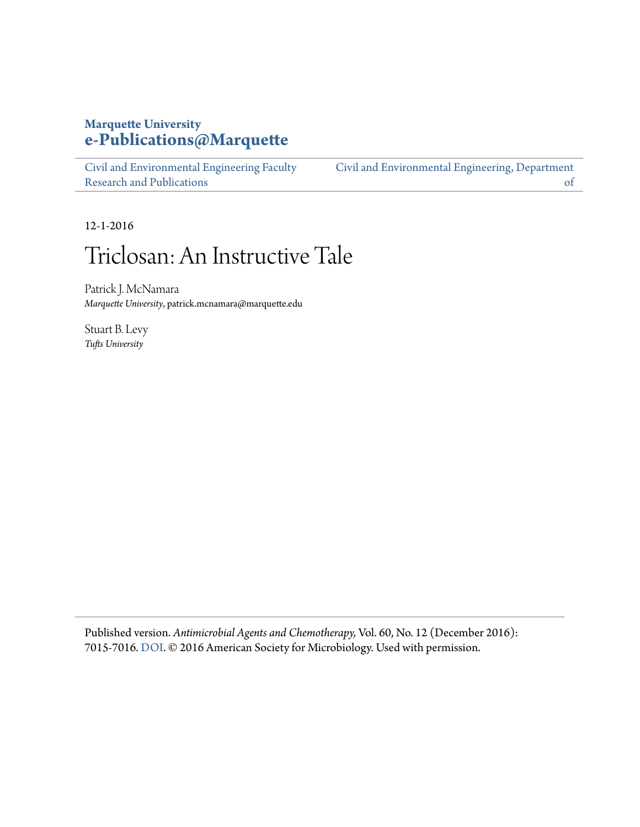### **Marquette University [e-Publications@Marquette](https://epublications.marquette.edu)**

[Civil and Environmental Engineering Faculty](https://epublications.marquette.edu/civengin_fac) [Research and Publications](https://epublications.marquette.edu/civengin_fac) [Civil and Environmental Engineering, Department](https://epublications.marquette.edu/civengin) [of](https://epublications.marquette.edu/civengin)

12-1-2016

# Triclosan: An Instructive Tale

Patrick J. McNamara *Marquette University*, patrick.mcnamara@marquette.edu

Stuart B. Levy *Tufts University*

Published version. *Antimicrobial Agents and Chemotherapy,* Vol. 60, No. 12 (December 2016): 7015-7016. [DOI](http://dx.doi.org/10.1128/AAC.02105-16). © 2016 American Society for Microbiology. Used with permission.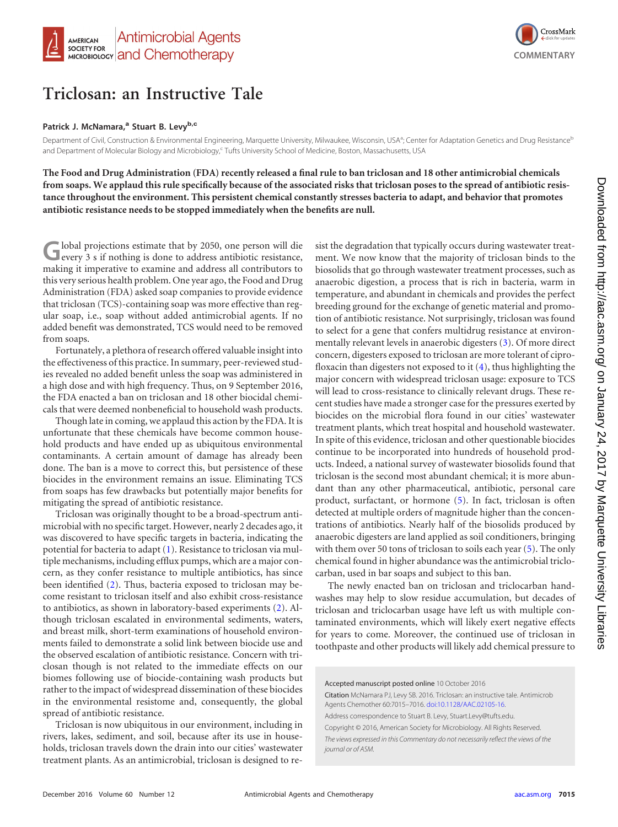

## **Triclosan: an Instructive Tale**

### **Patrick J. McNamara,<sup>a</sup> Stuart B. Levyb,c**

Department of Civil, Construction & Environmental Engineering, Marquette University, Milwaukee, Wisconsin, USA<sup>a</sup>; Center for Adaptation Genetics and Drug Resistance<sup>E</sup> and Department of Molecular Biology and Microbiology,<sup>c</sup> Tufts University School of Medicine, Boston, Massachusetts, USA

**The Food and Drug Administration (FDA) recently released a final rule to ban triclosan and 18 other antimicrobial chemicals from soaps. We applaud this rule specifically because of the associated risks that triclosan poses to the spread of antibiotic resistance throughout the environment. This persistent chemical constantly stresses bacteria to adapt, and behavior that promotes antibiotic resistance needs to be stopped immediately when the benefits are null.**

Global projections estimate that by 2050, one person will die every 3 s if nothing is done to address antibiotic resistance, making it imperative to examine and address all contributors to this very serious health problem. One year ago, the Food and Drug Administration (FDA) asked soap companies to provide evidence that triclosan (TCS)-containing soap was more effective than regular soap, i.e., soap without added antimicrobial agents. If no added benefit was demonstrated, TCS would need to be removed from soaps.

Fortunately, a plethora of research offered valuable insight into the effectiveness of this practice. In summary, peer-reviewed studies revealed no added benefit unless the soap was administered in a high dose and with high frequency. Thus, on 9 September 2016, the FDA enacted a ban on triclosan and 18 other biocidal chemicals that were deemed nonbeneficial to household wash products.

Though late in coming, we applaud this action by the FDA. It is unfortunate that these chemicals have become common household products and have ended up as ubiquitous environmental contaminants. A certain amount of damage has already been done. The ban is a move to correct this, but persistence of these biocides in the environment remains an issue. Eliminating TCS from soaps has few drawbacks but potentially major benefits for mitigating the spread of antibiotic resistance.

Triclosan was originally thought to be a broad-spectrum antimicrobial with no specific target. However, nearly 2 decades ago, it was discovered to have specific targets in bacteria, indicating the potential for bacteria to adapt [\(1\)](#page-2-0). Resistance to triclosan via multiple mechanisms, including efflux pumps, which are a major concern, as they confer resistance to multiple antibiotics, has since been identified [\(2\)](#page-2-1). Thus, bacteria exposed to triclosan may become resistant to triclosan itself and also exhibit cross-resistance to antibiotics, as shown in laboratory-based experiments [\(2\)](#page-2-1). Although triclosan escalated in environmental sediments, waters, and breast milk, short-term examinations of household environments failed to demonstrate a solid link between biocide use and the observed escalation of antibiotic resistance. Concern with triclosan though is not related to the immediate effects on our biomes following use of biocide-containing wash products but rather to the impact of widespread dissemination of these biocides in the environmental resistome and, consequently, the global spread of antibiotic resistance.

Triclosan is now ubiquitous in our environment, including in rivers, lakes, sediment, and soil, because after its use in households, triclosan travels down the drain into our cities' wastewater treatment plants. As an antimicrobial, triclosan is designed to resist the degradation that typically occurs during wastewater treatment. We now know that the majority of triclosan binds to the biosolids that go through wastewater treatment processes, such as anaerobic digestion, a process that is rich in bacteria, warm in temperature, and abundant in chemicals and provides the perfect breeding ground for the exchange of genetic material and promotion of antibiotic resistance. Not surprisingly, triclosan was found to select for a gene that confers multidrug resistance at environmentally relevant levels in anaerobic digesters [\(3\)](#page-2-2). Of more direct concern, digesters exposed to triclosan are more tolerant of ciprofloxacin than digesters not exposed to it [\(4\)](#page-2-3), thus highlighting the major concern with widespread triclosan usage: exposure to TCS will lead to cross-resistance to clinically relevant drugs. These recent studies have made a stronger case for the pressures exerted by biocides on the microbial flora found in our cities' wastewater treatment plants, which treat hospital and household wastewater. In spite of this evidence, triclosan and other questionable biocides continue to be incorporated into hundreds of household products. Indeed, a national survey of wastewater biosolids found that triclosan is the second most abundant chemical; it is more abundant than any other pharmaceutical, antibiotic, personal care product, surfactant, or hormone [\(5\)](#page-2-4). In fact, triclosan is often detected at multiple orders of magnitude higher than the concentrations of antibiotics. Nearly half of the biosolids produced by anaerobic digesters are land applied as soil conditioners, bringing with them over 50 tons of triclosan to soils each year [\(5\)](#page-2-4). The only chemical found in higher abundance was the antimicrobial triclocarban, used in bar soaps and subject to this ban.

The newly enacted ban on triclosan and triclocarban handwashes may help to slow residue accumulation, but decades of triclosan and triclocarban usage have left us with multiple contaminated environments, which will likely exert negative effects for years to come. Moreover, the continued use of triclosan in toothpaste and other products will likely add chemical pressure to

Accepted manuscript posted online 10 October 2016 Citation McNamara PJ, Levy SB. 2016. Triclosan: an instructive tale. Antimicrob Agents Chemother 60:7015–7016. [doi:10.1128/AAC.02105-16.](http://dx.doi.org/10.1128/AAC.02105-16) Address correspondence to Stuart B. Levy, Stuart.Levy@tufts.edu. Copyright © 2016, American Society for Microbiology. All Rights Reserved. *The views expressed in this Commentary do not necessarily reflect the views of the*

*journal or of ASM.*

**COMMENTARY**

CrossMark